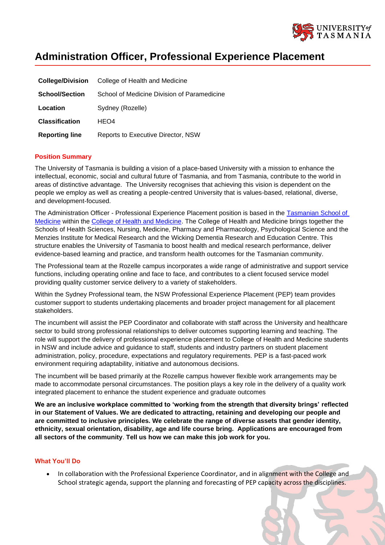

# **Administration Officer, Professional Experience Placement**

| <b>College/Division</b> | College of Health and Medicine              |
|-------------------------|---------------------------------------------|
| <b>School/Section</b>   | School of Medicine Division of Paramedicine |
| Location                | Sydney (Rozelle)                            |
| <b>Classification</b>   | HEO4                                        |
| <b>Reporting line</b>   | <b>Reports to Executive Director, NSW</b>   |

## **Position Summary**

The University of Tasmania is building a vision of a place-based University with a mission to enhance the intellectual, economic, social and cultural future of Tasmania, and from Tasmania, contribute to the world in areas of distinctive advantage. The University recognises that achieving this vision is dependent on the people we employ as well as creating a people-centred University that is values-based, relational, diverse, and development-focused.

The Administration Officer - Professional Experience Placement position is based in the Tasmanian School of [Medicine](https://www.utas.edu.au/health/about-us/tasmanian-school-of-medicine) within the [College of Health and Medicine.](https://www.utas.edu.au/health/about-us/tasmanian-school-of-medicine) The College of Health and Medicine brings together the Schools of Health Sciences, Nursing, Medicine, Pharmacy and Pharmacology, Psychological Science and the Menzies Institute for Medical Research and the Wicking Dementia Research and Education Centre. This structure enables the University of Tasmania to boost health and medical research performance, deliver evidence-based learning and practice, and transform health outcomes for the Tasmanian community.

The Professional team at the Rozelle campus incorporates a wide range of administrative and support service functions, including operating online and face to face, and contributes to a client focused service model providing quality customer service delivery to a variety of stakeholders.

Within the Sydney Professional team, the NSW Professional Experience Placement (PEP) team provides customer support to students undertaking placements and broader project management for all placement stakeholders.

The incumbent will assist the PEP Coordinator and collaborate with staff across the University and healthcare sector to build strong professional relationships to deliver outcomes supporting learning and teaching. The role will support the delivery of professional experience placement to College of Health and Medicine students in NSW and include advice and guidance to staff, students and industry partners on student placement administration, policy, procedure, expectations and regulatory requirements. PEP is a fast-paced work environment requiring adaptability, initiative and autonomous decisions.

The incumbent will be based primarily at the Rozelle campus however flexible work arrangements may be made to accommodate personal circumstances. The position plays a key role in the delivery of a quality work integrated placement to enhance the student experience and graduate outcomes

**We are an inclusive workplace committed to 'working from the strength that diversity brings' reflected in our Statement of Values. We are dedicated to attracting, retaining and developing our people and are committed to inclusive principles. We celebrate the range of diverse assets that gender identity, ethnicity, sexual orientation, disability, age and life course bring. Applications are encouraged from all sectors of the community**. **Tell us how we can make this job work for you.**

#### **What You'll Do**

In collaboration with the Professional Experience Coordinator, and in alignment with the College and School strategic agenda, support the planning and forecasting of PEP capacity across the disciplines.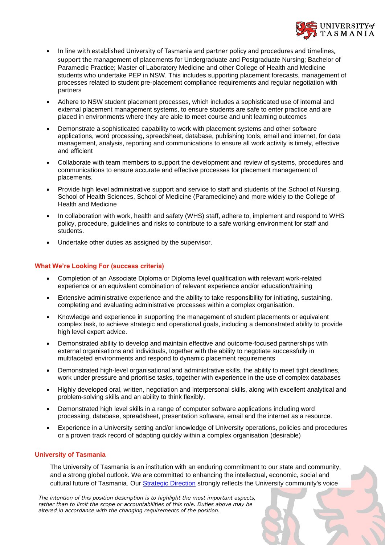

- In line with established University of Tasmania and partner policy and procedures and timelines, support the management of placements for Undergraduate and Postgraduate Nursing; Bachelor of Paramedic Practice; Master of Laboratory Medicine and other College of Health and Medicine students who undertake PEP in NSW. This includes supporting placement forecasts, management of processes related to student pre-placement compliance requirements and regular negotiation with partners
- Adhere to NSW student placement processes, which includes a sophisticated use of internal and external placement management systems, to ensure students are safe to enter practice and are placed in environments where they are able to meet course and unit learning outcomes
- Demonstrate a sophisticated capability to work with placement systems and other software applications, word processing, spreadsheet, database, publishing tools, email and internet, for data management, analysis, reporting and communications to ensure all work activity is timely, effective and efficient
- Collaborate with team members to support the development and review of systems, procedures and communications to ensure accurate and effective processes for placement management of placements.
- Provide high level administrative support and service to staff and students of the School of Nursing, School of Health Sciences, School of Medicine (Paramedicine) and more widely to the College of Health and Medicine
- In collaboration with work, health and safety (WHS) staff, adhere to, implement and respond to WHS policy, procedure, guidelines and risks to contribute to a safe working environment for staff and students.
- Undertake other duties as assigned by the supervisor.

# **What We're Looking For (success criteria)**

- Completion of an Associate Diploma or Diploma level qualification with relevant work-related experience or an equivalent combination of relevant experience and/or education/training
- Extensive administrative experience and the ability to take responsibility for initiating, sustaining, completing and evaluating administrative processes within a complex organisation.
- Knowledge and experience in supporting the management of student placements or equivalent complex task, to achieve strategic and operational goals, including a demonstrated ability to provide high level expert advice.
- Demonstrated ability to develop and maintain effective and outcome-focused partnerships with external organisations and individuals, together with the ability to negotiate successfully in multifaceted environments and respond to dynamic placement requirements
- Demonstrated high-level organisational and administrative skills, the ability to meet tight deadlines, work under pressure and prioritise tasks, together with experience in the use of complex databases
- Highly developed oral, written, negotiation and interpersonal skills, along with excellent analytical and problem-solving skills and an ability to think flexibly.
- Demonstrated high level skills in a range of computer software applications including word processing, database, spreadsheet, presentation software, email and the internet as a resource.
- Experience in a University setting and/or knowledge of University operations, policies and procedures or a proven track record of adapting quickly within a complex organisation (desirable)

## **University of Tasmania**

The University of Tasmania is an institution with an enduring commitment to our state and community, and a strong global outlook. We are committed to enhancing the intellectual, economic, social and cultural future of Tasmania. Our [Strategic Direction](https://www.utas.edu.au/vc/strategic-direction) strongly reflects the University community's voice

*The intention of this position description is to highlight the most important aspects, rather than to limit the scope or accountabilities of this role. Duties above may be altered in accordance with the changing requirements of the position.*